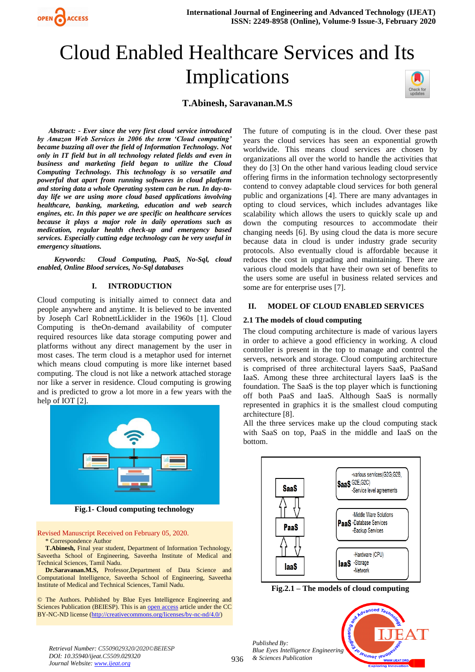

# Cloud Enabled Healthcare Services and Its Implications

# **T.Abinesh, Saravanan.M.S**

*Abstract: - Ever since the very first cloud service introduced by Amazon Web Services in 2006 the term 'Cloud computing' became buzzing all over the field of Information Technology. Not only in IT field but in all technology related fields and even in business and marketing field began to utilize the Cloud Computing Technology. This technology is so versatile and powerful that apart from running softwares in cloud platform and storing data a whole Operating system can be run. In day-today life we are using more cloud based applications involving healthcare, banking, marketing, education and web search engines, etc. In this paper we are specific on healthcare services because it plays a major role in daily operations such as medication, regular health check-up and emergency based services. Especially cutting edge technology can be very useful in emergency situations.*

*Keywords: Cloud Computing, PaaS, No-Sql, cloud enabled, Online Blood services, No-Sql databases*

# **I. INTRODUCTION**

Cloud computing is initially aimed to connect data and people anywhere and anytime. It is believed to be invented by Joseph Carl RobnettLicklider in the 1960s [1]. Cloud Computing is theOn-demand availability of computer required resources like data storage computing power and platforms without any direct management by the user in most cases. The term cloud is a metaphor used for internet which means cloud computing is more like internet based computing. The cloud is not like a network attached storage nor like a server in residence. Cloud computing is growing and is predicted to grow a lot more in a few years with the help of IOT [2].



**Fig.1- Cloud computing technology** 

Revised Manuscript Received on February 05, 2020. \* Correspondence Author

**T.Abinesh,** Final year student, Department of Information Technology, Saveetha School of Engineering, Saveetha Institute of Medical and Technical Sciences, Tamil Nadu.

**Dr.Saravanan.M.S,** Professor,Department of Data Science and Computational Intelligence, Saveetha School of Engineering, Saveetha Institute of Medical and Technical Sciences, Tamil Nadu.

© The Authors. Published by Blue Eyes Intelligence Engineering and Sciences Publication (BEIESP). This is a[n open access](https://www.openaccess.nl/en/open-publications) article under the CC BY-NC-ND license [\(http://creativecommons.org/licenses/by-nc-nd/4.0/\)](http://creativecommons.org/licenses/by-nc-nd/4.0/)

The future of computing is in the cloud. Over these past years the cloud services has seen an exponential growth worldwide. This means cloud services are chosen by organizations all over the world to handle the activities that they do [3] On the other hand various leading cloud service offering firms in the information technology sectorpresently contend to convey adaptable cloud services for both general public and organizations [4]. There are many advantages in opting to cloud services, which includes advantages like scalability which allows the users to quickly scale up and down the computing resources to accommodate their changing needs [6]. By using cloud the data is more secure because data in cloud is under industry grade security protocols. Also eventually cloud is affordable because it reduces the cost in upgrading and maintaining. There are various cloud models that have their own set of benefits to the users some are useful in business related services and some are for enterprise uses [7].

#### **II. MODEL OF CLOUD ENABLED SERVICES**

## **2.1 The models of cloud computing**

The cloud computing architecture is made of various layers in order to achieve a good efficiency in working. A cloud controller is present in the top to manage and control the servers, network and storage. Cloud computing architecture is comprised of three architectural layers SaaS, PaaSand IaaS. Among these three architectural layers IaaS is the foundation. The SaaS is the top player which is functioning off both PaaS and IaaS. Although SaaS is normally represented in graphics it is the smallest cloud computing architecture [8].

All the three services make up the cloud computing stack with SaaS on top, PaaS in the middle and IaaS on the bottom.



**Fig.2.1 – The models of cloud computing**

*Published By: Blue Eyes Intelligence Engineering & Sciences Publication* 



*Retrieval Number: C5509029320/2020©BEIESP DOI: 10.35940/ijeat.C5509.029320 Journal Website[: www.ijeat.org](http://www.ijeat.org/)*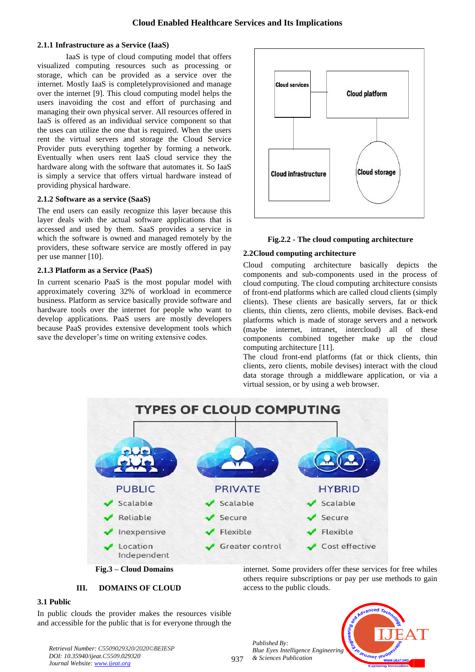# **2.1.1 Infrastructure as a Service (IaaS)**

IaaS is type of cloud computing model that offers visualized computing resources such as processing or storage, which can be provided as a service over the internet. Mostly IaaS is completelyprovisioned and manage over the internet [9]. This cloud computing model helps the users inavoiding the cost and effort of purchasing and managing their own physical server. All resources offered in IaaS is offered as an individual service component so that the uses can utilize the one that is required. When the users rent the virtual servers and storage the Cloud Service Provider puts everything together by forming a network. Eventually when users rent IaaS cloud service they the hardware along with the software that automates it. So IaaS is simply a service that offers virtual hardware instead of providing physical hardware.

## **2.1.2 Software as a service (SaaS)**

The end users can easily recognize this layer because this layer deals with the actual software applications that is accessed and used by them. SaaS provides a service in which the software is owned and managed remotely by the providers, these software service are mostly offered in pay per use manner [10].

## **2.1.3 Platform as a Service (PaaS)**

In current scenario PaaS is the most popular model with approximately covering 32% of workload in ecommerce business. Platform as service basically provide software and hardware tools over the internet for people who want to develop applications. PaaS users are mostly developers because PaaS provides extensive development tools which save the developer's time on writing extensive codes.





## **2.2Cloud computing architecture**

Cloud computing architecture basically depicts the components and sub-components used in the process of cloud computing. The cloud computing architecture consists of front-end platforms which are called cloud clients (simply clients). These clients are basically servers, fat or thick clients, thin clients, zero clients, mobile devises. Back-end platforms which is made of storage servers and a network (maybe internet, intranet, intercloud) all of these components combined together make up the cloud computing architecture [11].

The cloud front-end platforms (fat or thick clients, thin clients, zero clients, mobile devises) interact with the cloud data storage through a middleware application, or via a virtual session, or by using a web browser.



937



**III. DOMAINS OF CLOUD** 

internet. Some providers offer these services for free whiles others require subscriptions or pay per use methods to gain access to the public clouds.

## **3.1 Public**

In public clouds the provider makes the resources visible and accessible for the public that is for everyone through the

*Retrieval Number: C5509029320/2020©BEIESP DOI: 10.35940/ijeat.C5509.029320 Journal Website[: www.ijeat.org](http://www.ijeat.org/)*